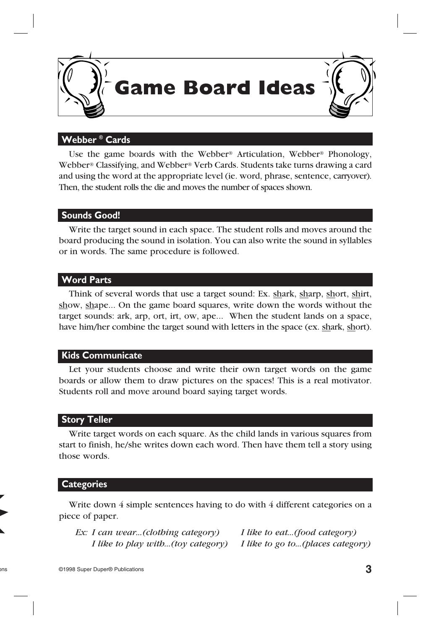

#### **Webber ® Cards**

Use the game boards with the Webber® [Articulation,](http://www.superduperinc.com/products/view.aspx?stid=348) Webber® [Phonology,](http://www.superduperinc.com/products/view.aspx?stid=132) Webber® [Classifying,](http://www.superduperinc.com/products/view.aspx?pid=WCC333) and [Webber®](http://www.superduperinc.com/products/view.aspx?pid=WFC02) Verb Cards. Students take turns drawing a card and using the word at the appropriate level (ie. word, phrase, sentence, carryover). Then, the student rolls the die and moves the number of spaces shown.

#### **Sounds Good!**

 Write the target sound in each space. The student rolls and moves around the board producing the sound in isolation. You can also write the sound in syllables or in words. The same procedure is followed.

#### **Word Parts**

 Think of several words that use a target sound: Ex. shark, sharp, short, shirt, show, shape... On the game board squares, write down the words without the target sounds: ark, arp, ort, irt, ow, ape... When the student lands on a space, have him/her combine the target sound with letters in the space (ex. shark, short).

#### **Kids Communicate**

 Let your students choose and write their own target words on the game boards or allow them to draw pictures on the spaces! This is a real motivator. Students roll and move around board saying target words.

#### **Story Teller**

 Write target words on each square. As the child lands in various squares from start to finish, he/she writes down each word. Then have them tell a story using those words.

#### **Categories**

Write down 4 simple sentences having to do with 4 different categories on a piece of paper.

 *Ex: I can wear...(clothing category) I like to eat...(food category) I like to play with...(toy category) I like to go to...(places category)*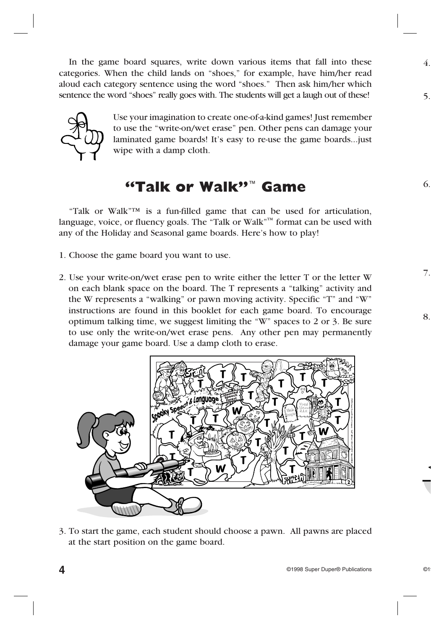In the game board squares, write down various items that fall into these categories. When the child lands on "shoes," for example, have him/her read aloud each category sentence using the word "shoes." Then ask him/her which sentence the word "shoes" really goes with. The students will get a laugh out of these!



Use your imagination to create one-of-a-kind games! Just remember to use the "write-on/wet erase" pen. Other pens can damage your laminated game boards! It's easy to re-use the game boards...just wipe with a damp cloth.

## **"Talk or Walk"**™ **Game**

 "Talk or Walk"™ is a fun-filled game that can be used for articulation, language, voice, or fluency goals. The "Talk or Walk"<sup> $M$ </sup> format can be used with any of the Holiday and Seasonal game boards. Here's how to play!

- 1. Choose the game board you want to use.
- 2. Use your write-on/wet erase pen to write either the letter T or the letter W on each blank space on the board. The T represents a "talking" activity and the W represents a "walking" or pawn moving activity. Specific "T" and "W" instructions are found in this booklet for each game board. To encourage optimum talking time, we suggest limiting the "W" spaces to 2 or 3. Be sure to use only the write-on/wet erase pens. Any other pen may permanently damage your game board. Use a damp cloth to erase.



3. To start the game, each student should choose a pawn. All pawns are placed at the start position on the game board.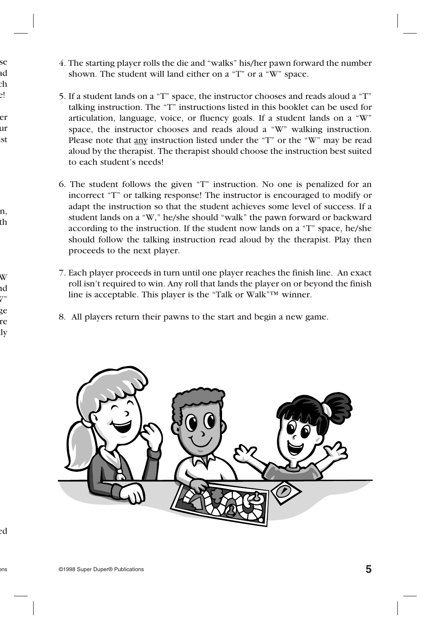- 4. The starting player rolls the die and "walks" his/her pawn forward the number shown. The student will land either on a "T" or a "W" space.
- 5. If a student lands on a "T" space, the instructor chooses and reads aloud a "T" talking instruction. The "T" instructions listed in this booklet can be used for articulation, language, voice, or fluency goals. If a student lands on a "W" space, the instructor chooses and reads aloud a "W" walking instruction. Please note that any instruction listed under the "T" or the "W" may be read aloud by the therapist. The therapist should choose the instruction best suited to each student's needs!
- 6. The student follows the given "T" instruction. No one is penalized for an incorrect "T" or talking response! The instructor is encouraged to modify or adapt the instruction so that the student achieves some level of success. If a student lands on a "W," he/she should "walk" the pawn forward or backward according to the instruction. If the student now lands on a "T" space, he/she should follow the talking instruction read aloud by the therapist. Play then proceeds to the next player.
- 7. Each player proceeds in turn until one player reaches the finish line. An exact roll isn't required to win. Any roll that lands the player on or beyond the finish line is acceptable. This player is the "Talk or Walk"™ winner.
- 8. All players return their pawns to the start and begin a new game.

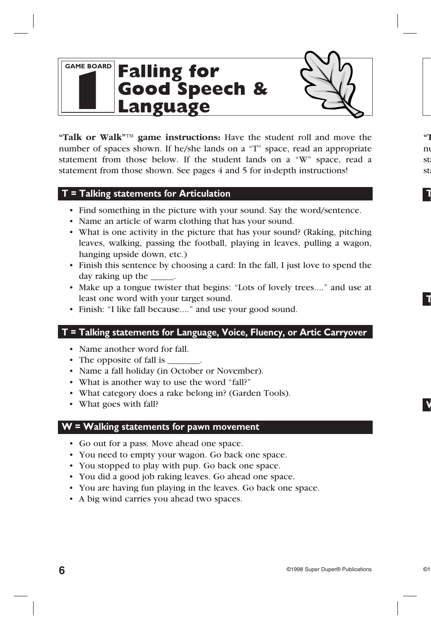### **GAME BOARD 1 Falling for Good Speech & Language**

**"Talk or Walk"™ game instructions:** Have the student roll and move the number of spaces shown. If he/she lands on a "T" space, read an appropriate statement from those below. If the student lands on a "W" space, read a statement from those shown. See pages 4 and 5 for in-depth instructions!

#### **T = Talking statements for Articulation**

- Find something in the picture with your sound. Say the word/sentence.
- Name an article of warm clothing that has your sound.
- What is one activity in the picture that has your sound? (Raking, pitching leaves, walking, passing the football, playing in leaves, pulling a wagon, hanging upside down, etc.)
- • Finish this sentence by choosing a card: In the fall, I just love to spend the day raking up the \_\_\_\_\_.
- • Make up a tongue twister that begins: "Lots of lovely trees...." and use at least one word with your target sound.
- Finish: "I like fall because...." and use your good sound.

#### **T = Talking statements for Language, Voice, Fluency, or Artic Carryover**

- Name another word for fall.
- The opposite of fall is
- Name a fall holiday (in October or November).
- What is another way to use the word "fall?"
- What category does a rake belong in? (Garden Tools).
- What goes with fall?

#### **W = Walking statements for pawn movement**

- • Go out for a pass. Move ahead one space.
- You need to empty your wagon. Go back one space.
- You stopped to play with pup. Go back one space.
- You did a good job raking leaves. Go ahead one space.
- You are having fun playing in the leaves. Go back one space.
- A big wind carries you ahead two spaces.